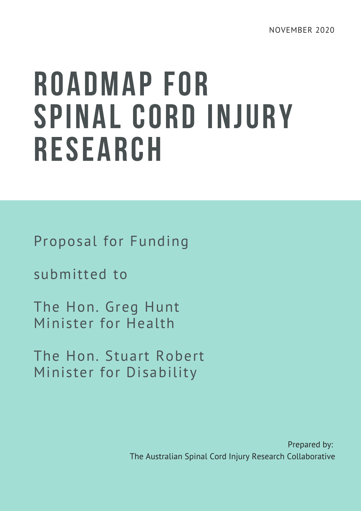# ROADMAP FOR SPINAL CORD INJURY RESEARCH

Proposal for Funding

submitted to

The Hon. Greg Hunt Minister for Health

The Hon. Stuart Robert Minister for Disability

> Prepared by: The Australian Spinal Cord Injury Research Collaborative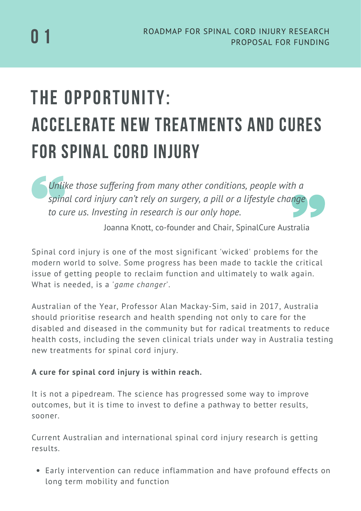# THE OPPORTUNITY: ACCELERATE NEW TREATMENTS AND CURES FOR SPINAL CORD INJURY

*Unlike those suffering from many other conditions, people with a spinal cord injury can't rely on surgery, a pill or a lifestyle change to cure us. Investing in research is our only hope.*

Joanna Knott, co-founder and Chair, SpinalCure Australia

Spinal cord injury is one of the most significant 'wicked' problems for the modern world to solve. Some progress has been made to tackle the critical issue of getting people to reclaim function and ultimately to walk again. What is needed, is a '*game changer*'.

Australian of the Year, Professor Alan Mackay-Sim, said in 2017, Australia should prioritise research and health spending not only to care for the disabled and diseased in the community but for radical treatments to reduce health costs, including the seven clinical trials under way in Australia testing new treatments for spinal cord injury.

#### **A cure for spinal cord injury is within reach.**

It is not a pipedream. The science has progressed some way to improve outcomes, but it is time to invest to define a pathway to better results, sooner.

Current Australian and international spinal cord injury research is getting results.

Early intervention can reduce inflammation and have profound effects on long term mobility and function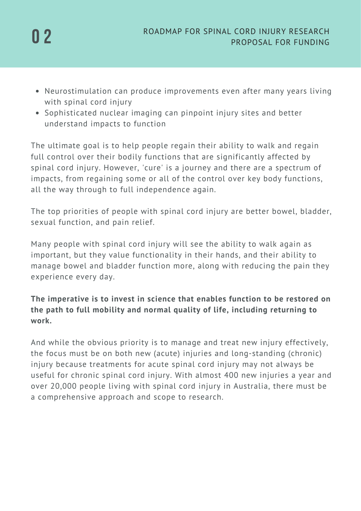

- Neurostimulation can produce improvements even after many years living with spinal cord injury
- Sophisticated nuclear imaging can pinpoint injury sites and better understand impacts to function

The ultimate goal is to help people regain their ability to walk and regain full control over their bodily functions that are significantly affected by spinal cord injury. However, 'cure' is a journey and there are a spectrum of impacts, from regaining some or all of the control over key body functions, all the way through to full independence again.

The top priorities of people with spinal cord injury are better bowel, bladder, sexual function, and pain relief.

Many people with spinal cord injury will see the ability to walk again as important, but they value functionality in their hands, and their ability to manage bowel and bladder function more, along with reducing the pain they experience every day.

#### **The imperative is to invest in science that enables function to be restored on the path to full mobility and normal quality of life, including returning to work.**

And while the obvious priority is to manage and treat new injury effectively, the focus must be on both new (acute) injuries and long-standing (chronic) injury because treatments for acute spinal cord injury may not always be useful for chronic spinal cord injury. With almost 400 new injuries a year and over 20,000 people living with spinal cord injury in Australia, there must be a comprehensive approach and scope to research.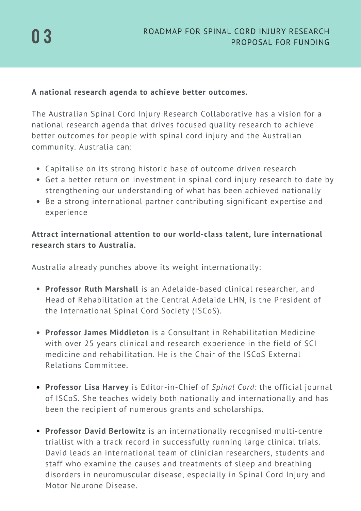#### **A national research agenda to achieve better outcomes.**

The Australian Spinal Cord Injury Research Collaborative has a vision for a national research agenda that drives focused quality research to achieve better outcomes for people with spinal cord injury and the Australian community. Australia can:

- Capitalise on its strong historic base of outcome driven research
- Get a better return on investment in spinal cord injury research to date by strengthening our understanding of what has been achieved nationally
- Be a strong international partner contributing significant expertise and experience

**Attract international attention to our world-class talent, lure international research stars to Australia.**

Australia already punches above its weight internationally:

- **Professor Ruth Marshall** is an Adelaide-based clinical researcher, and Head of Rehabilitation at the Central Adelaide LHN, is the President of the International Spinal Cord Society (ISCoS).
- **Professor James Middleton** is a Consultant in Rehabilitation Medicine with over 25 years clinical and research experience in the field of SCI medicine and rehabilitation. He is the Chair of the ISCoS External Relations Committee.
- **Professor Lisa Harvey** is Editor-in-Chief of *Spinal Cord*: the official journal of ISCoS. She teaches widely both nationally and internationally and has been the recipient of numerous grants and scholarships.
- **Professor David Berlowitz** is an internationally recognised multi-centre triallist with a track record in successfully running large clinical trials. David leads an international team of clinician researchers, students and staff who examine the causes and treatments of sleep and breathing disorders in neuromuscular disease, especially in Spinal Cord Injury and Motor Neurone Disease.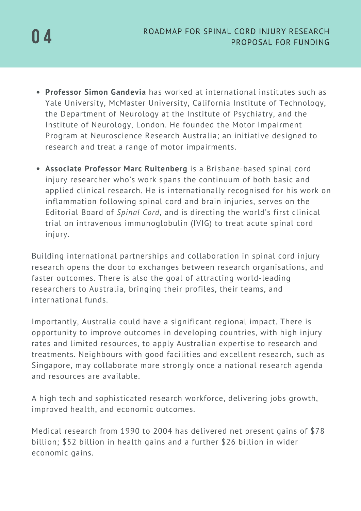- **Professor Simon Gandevia** has worked at international institutes such as Yale University, McMaster University, California Institute of Technology, the Department of Neurology at the Institute of Psychiatry, and the Institute of Neurology, London. He founded the Motor Impairment Program at Neuroscience Research Australia; an initiative designed to research and treat a range of motor impairments.
- **Associate Professor Marc Ruitenberg** is a Brisbane-based spinal cord injury researcher who's work spans the continuum of both basic and applied clinical research. He is internationally recognised for his work on inflammation following spinal cord and brain injuries, serves on the Editorial Board of *Spinal Cord*, and is directing the world's first clinical trial on intravenous immunoglobulin (IVIG) to treat acute spinal cord injury.

Building international partnerships and collaboration in spinal cord injury research opens the door to exchanges between research organisations, and faster outcomes. There is also the goal of attracting world-leading researchers to Australia, bringing their profiles, their teams, and international funds.

Importantly, Australia could have a significant regional impact. There is opportunity to improve outcomes in developing countries, with high injury rates and limited resources, to apply Australian expertise to research and treatments. Neighbours with good facilities and excellent research, such as Singapore, may collaborate more strongly once a national research agenda and resources are available.

A high tech and sophisticated research workforce, delivering jobs growth, improved health, and economic outcomes.

Medical research from 1990 to 2004 has delivered net present gains of \$78 billion; \$52 billion in health gains and a further \$26 billion in wider economic gains.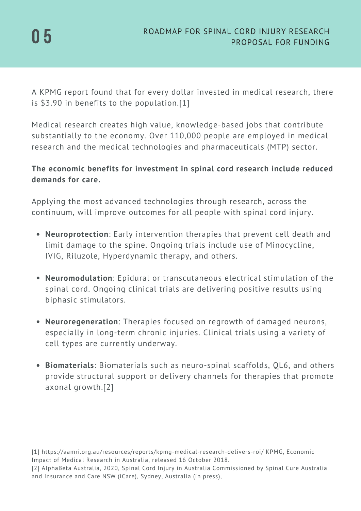A KPMG report found that for every dollar invested in medical research, there is \$3.90 in benefits to the population.[1]

Medical research creates high value, knowledge-based jobs that contribute substantially to the economy. Over 110,000 people are employed in medical research and the medical technologies and pharmaceuticals (MTP) sector.

#### **The economic benefits for investment in spinal cord research include reduced demands for care.**

Applying the most advanced technologies through research, across the continuum, will improve outcomes for all people with spinal cord injury.

- **Neuroprotection**: Early intervention therapies that prevent cell death and limit damage to the spine. Ongoing trials include use of Minocycline, IVIG, Riluzole, Hyperdynamic therapy, and others.
- **Neuromodulation**: Epidural or transcutaneous electrical stimulation of the spinal cord. Ongoing clinical trials are delivering positive results using biphasic stimulators.
- **Neuroregeneration**: Therapies focused on regrowth of damaged neurons, especially in long-term chronic injuries. Clinical trials using a variety of cell types are currently underway.
- **Biomaterials**: Biomaterials such as neuro-spinal scaffolds, QL6, and others provide structural support or delivery channels for therapies that promote axonal growth.[2]

[1] https://aamri.org.au/resources/reports/kpmg-medical-research-delivers-roi/ KPMG, Economic Impact of Medical Research in Australia, released 16 October 2018.

<sup>[2]</sup> AlphaBeta Australia, 2020, Spinal Cord Injury in Australia Commissioned by Spinal Cure Australia and Insurance and Care NSW (iCare), Sydney, Australia (in press),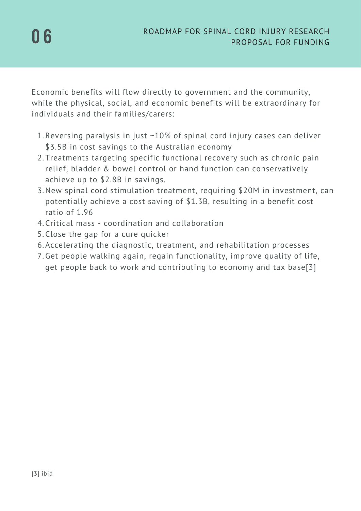Economic benefits will flow directly to government and the community, while the physical, social, and economic benefits will be extraordinary for individuals and their families/carers:

- 1.Reversing paralysis in just ~10% of spinal cord injury cases can deliver \$3.5B in cost savings to the Australian economy
- 2.Treatments targeting specific functional recovery such as chronic pain relief, bladder & bowel control or hand function can conservatively achieve up to \$2.8B in savings.
- 3. New spinal cord stimulation treatment, requiring \$20M in investment, can potentially achieve a cost saving of \$1.3B, resulting in a benefit cost ratio of 1.96
- Critical mass coordination and collaboration 4.
- 5. Close the gap for a cure quicker
- Accelerating the diagnostic, treatment, and rehabilitation processes 6.
- 7.Get people walking again, regain functionality, improve quality of life, get people back to work and contributing to economy and tax base[3]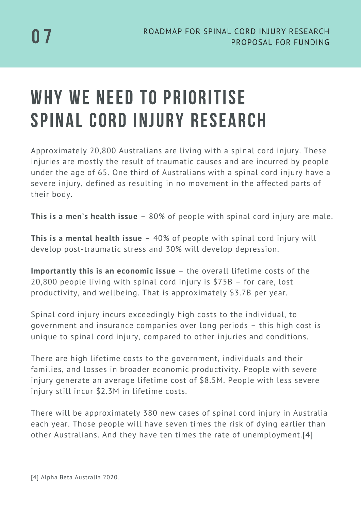## WHY WE NEED TO PRIORITISE SPINAL CORD INJURY RESEARCH

Approximately 20,800 Australians are living with a spinal cord injury. These injuries are mostly the result of traumatic causes and are incurred by people under the age of 65. One third of Australians with a spinal cord injury have a severe injury, defined as resulting in no movement in the affected parts of their body.

**This is a men's health issue** – 80% of people with spinal cord injury are male.

**This is a mental health issue** – 40% of people with spinal cord injury will develop post-traumatic stress and 30% will develop depression.

**Importantly this is an economic issue** – the overall lifetime costs of the 20,800 people living with spinal cord injury is \$75B – for care, lost productivity, and wellbeing. That is approximately \$3.7B per year.

Spinal cord injury incurs exceedingly high costs to the individual, to government and insurance companies over long periods – this high cost is unique to spinal cord injury, compared to other injuries and conditions.

There are high lifetime costs to the government, individuals and their families, and losses in broader economic productivity. People with severe injury generate an average lifetime cost of \$8.5M. People with less severe injury still incur \$2.3M in lifetime costs.

There will be approximately 380 new cases of spinal cord injury in Australia each year. Those people will have seven times the risk of dying earlier than other Australians. And they have ten times the rate of unemployment.[4]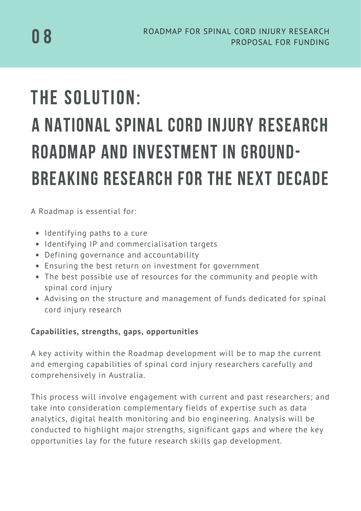# THE SOLUTION: A NATIONAL SPINAL CORD INJURY RESEARCH ROADMAP AND INVESTMENT IN GROUND-BREAKING RESEARCH FOR THE NEXT DECADE

A Roadmap is essential for:

- Identifying paths to a cure
- Identifying IP and commercialisation targets
- Defining governance and accountability
- Ensuring the best return on investment for government
- The best possible use of resources for the community and people with spinal cord injury
- Advising on the structure and management of funds dedicated for spinal cord injury research

#### **Capabilities, strengths, gaps, opportunities**

A key activity within the Roadmap development will be to map the current and emerging capabilities of spinal cord injury researchers carefully and comprehensively in Australia.

This process will involve engagement with current and past researchers; and take into consideration complementary fields of expertise such as data analytics, digital health monitoring and bio engineering. Analysis will be conducted to highlight major strengths, significant gaps and where the key opportunities lay for the future research skills gap development.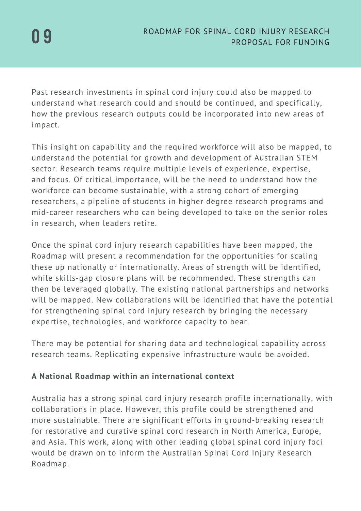Past research investments in spinal cord injury could also be mapped to understand what research could and should be continued, and specifically, how the previous research outputs could be incorporated into new areas of impact.

This insight on capability and the required workforce will also be mapped, to understand the potential for growth and development of Australian STEM sector. Research teams require multiple levels of experience, expertise, and focus. Of critical importance, will be the need to understand how the workforce can become sustainable, with a strong cohort of emerging researchers, a pipeline of students in higher degree research programs and mid-career researchers who can being developed to take on the senior roles in research, when leaders retire.

Once the spinal cord injury research capabilities have been mapped, the Roadmap will present a recommendation for the opportunities for scaling these up nationally or internationally. Areas of strength will be identified, while skills-gap closure plans will be recommended. These strengths can then be leveraged globally. The existing national partnerships and networks will be mapped. New collaborations will be identified that have the potential for strengthening spinal cord injury research by bringing the necessary expertise, technologies, and workforce capacity to bear.

There may be potential for sharing data and technological capability across research teams. Replicating expensive infrastructure would be avoided.

#### **A National Roadmap within an international context**

Australia has a strong spinal cord injury research profile internationally, with collaborations in place. However, this profile could be strengthened and more sustainable. There are significant efforts in ground-breaking research for restorative and curative spinal cord research in North America, Europe, and Asia. This work, along with other leading global spinal cord injury foci would be drawn on to inform the Australian Spinal Cord Injury Research Roadmap.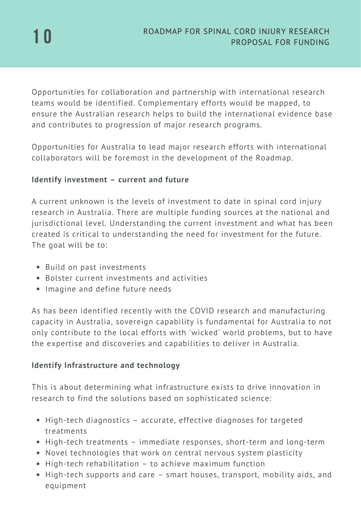Opportunities for collaboration and partnership with international research teams would be identified. Complementary efforts would be mapped, to ensure the Australian research helps to build the international evidence base and contributes to progression of major research programs.

Opportunities for Australia to lead major research efforts with international collaborators will be foremost in the development of the Roadmap.

#### **Identify investment – current and future**

A current unknown is the levels of investment to date in spinal cord injury research in Australia. There are multiple funding sources at the national and jurisdictional level. Understanding the current investment and what has been created is critical to understanding the need for investment for the future. The goal will be to:

- Build on past investments
- Bolster current investments and activities
- Imagine and define future needs

As has been identified recently with the COVID research and manufacturing capacity in Australia, sovereign capability is fundamental for Australia to not only contribute to the local efforts with 'wicked' world problems, but to have the expertise and discoveries and capabilities to deliver in Australia.

#### **Identify Infrastructure and technology**

This is about determining what infrastructure exists to drive innovation in research to find the solutions based on sophisticated science:

- High-tech diagnostics accurate, effective diagnoses for targeted treatments
- High-tech treatments immediate responses, short-term and long-term
- Novel technologies that work on central nervous system plasticity
- High-tech rehabilitation to achieve maximum function
- High-tech supports and care smart houses, transport, mobility aids, and equipment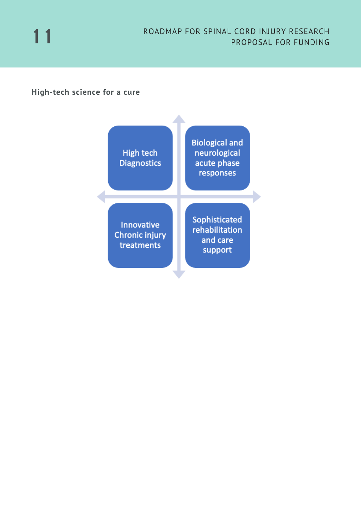

#### **High-tech science for a cure**

| <b>High tech</b><br><b>Diagnostics</b>                   | <b>Biological and</b><br>neurological<br>acute phase<br>responses |
|----------------------------------------------------------|-------------------------------------------------------------------|
| <b>Innovative</b><br><b>Chronic injury</b><br>treatments | Sophisticated<br>rehabilitation<br>and care<br>support            |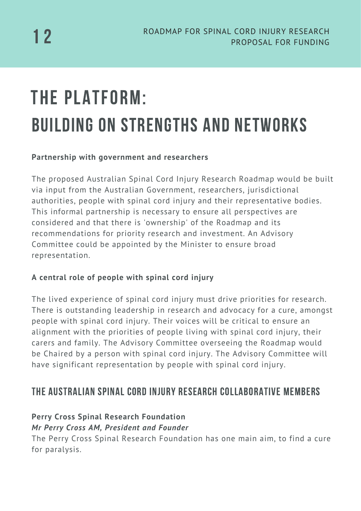# THE PLATFORM: BUILDING ON STRENGTHS AND NETWORKS

#### **Partnership with government and researchers**

The proposed Australian Spinal Cord Injury Research Roadmap would be built via input from the Australian Government, researchers, jurisdictional authorities, people with spinal cord injury and their representative bodies. This informal partnership is necessary to ensure all perspectives are considered and that there is 'ownership' of the Roadmap and its recommendations for priority research and investment. An Advisory Committee could be appointed by the Minister to ensure broad representation.

#### **A central role of people with spinal cord injury**

The lived experience of spinal cord injury must drive priorities for research. There is outstanding leadership in research and advocacy for a cure, amongst people with spinal cord injury. Their voices will be critical to ensure an alignment with the priorities of people living with spinal cord injury, their carers and family. The Advisory Committee overseeing the Roadmap would be Chaired by a person with spinal cord injury. The Advisory Committee will have significant representation by people with spinal cord injury.

### The Australian Spinal Cord Injury Research COLLABORATIVE Members

#### **Perry Cross Spinal Research Foundation** *Mr Perry Cross AM, President and Founder*

The Perry Cross Spinal Research Foundation has one main aim, to find a cure for paralysis.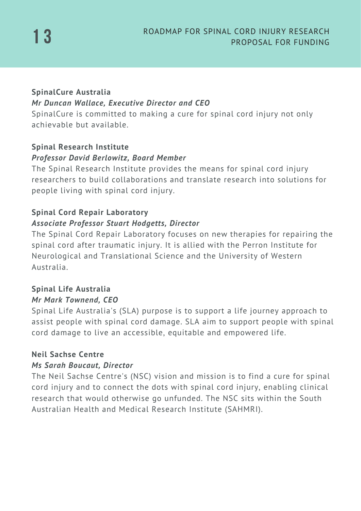#### **SpinalCure Australia** *Mr Duncan Wallace, Executive Director and CEO*

SpinalCure is committed to making a cure for spinal cord injury not only achievable but available.

#### **Spinal Research Institute** *Professor David Berlowitz, Board Member*

The Spinal Research Institute provides the means for spinal cord injury researchers to build collaborations and translate research into solutions for people living with spinal cord injury.

#### **Spinal Cord Repair Laboratory** *Associate Professor Stuart Hodgetts, Director*

The Spinal Cord Repair Laboratory focuses on new therapies for repairing the spinal cord after traumatic injury. It is allied with the Perron Institute for Neurological and Translational Science and the University of Western Australia.

#### **Spinal Life Australia** *Mr Mark Townend, CEO*

Spinal Life Australia's (SLA) purpose is to support a life journey approach to assist people with spinal cord damage. SLA aim to support people with spinal cord damage to live an accessible, equitable and empowered life.

#### **Neil Sachse Centre**

#### *Ms Sarah Boucaut, Director*

The Neil Sachse Centre's (NSC) vision and mission is to find a cure for spinal cord injury and to connect the dots with spinal cord injury, enabling clinical research that would otherwise go unfunded. The NSC sits within the South Australian Health and Medical Research Institute (SAHMRI).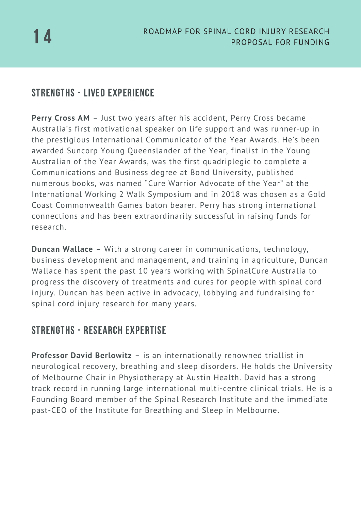### Strengths - Lived Experience

**Perry Cross AM** – Just two years after his accident, Perry Cross became Australia's first motivational speaker on life support and was runner-up in the prestigious International Communicator of the Year Awards. He's been awarded Suncorp Young Queenslander of the Year, finalist in the Young Australian of the Year Awards, was the first quadriplegic to complete a Communications and Business degree at Bond University, published numerous books, was named "Cure Warrior Advocate of the Year" at the International Working 2 Walk Symposium and in 2018 was chosen as a Gold Coast Commonwealth Games baton bearer. Perry has strong international connections and has been extraordinarily successful in raising funds for research.

**Duncan Wallace** – With a strong career in communications, technology, business development and management, and training in agriculture, Duncan Wallace has spent the past 10 years working with SpinalCure Australia to progress the discovery of treatments and cures for people with spinal cord injury. Duncan has been active in advocacy, lobbying and fundraising for spinal cord injury research for many years.

### Strengths - Research Expertise

**Professor David Berlowitz** – is an internationally renowned triallist in neurological recovery, breathing and sleep disorders. He holds the University of Melbourne Chair in Physiotherapy at Austin Health. David has a strong track record in running large international multi-centre clinical trials. He is a Founding Board member of the Spinal Research Institute and the immediate past-CEO of the Institute for Breathing and Sleep in Melbourne.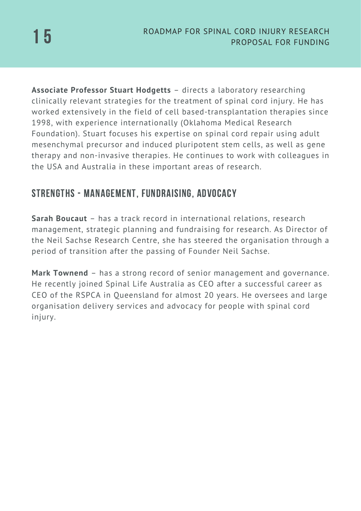**Associate Professor Stuart Hodgetts** – directs a laboratory researching clinically relevant strategies for the treatment of spinal cord injury. He has worked extensively in the field of cell based-transplantation therapies since 1998, with experience internationally (Oklahoma Medical Research Foundation). Stuart focuses his expertise on spinal cord repair using adult mesenchymal precursor and induced pluripotent stem cells, as well as gene therapy and non-invasive therapies. He continues to work with colleagues in the USA and Australia in these important areas of research.

### Strengths - Management, Fundraising, Advocacy

**Sarah Boucaut** – has a track record in international relations, research management, strategic planning and fundraising for research. As Director of the Neil Sachse Research Centre, she has steered the organisation through a period of transition after the passing of Founder Neil Sachse.

**Mark Townend** – has a strong record of senior management and governance. He recently joined Spinal Life Australia as CEO after a successful career as CEO of the RSPCA in Queensland for almost 20 years. He oversees and large organisation delivery services and advocacy for people with spinal cord injury.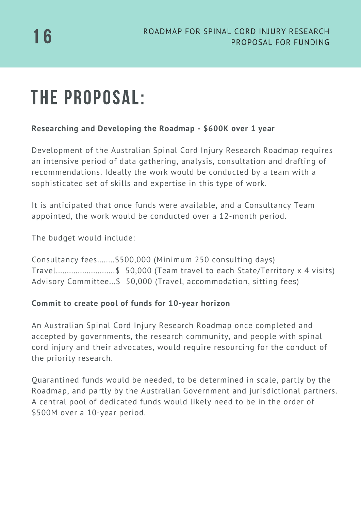# THE PROPOSAL:

#### **Researching and Developing the Roadmap - \$600K over 1 year**

Development of the Australian Spinal Cord Injury Research Roadmap requires an intensive period of data gathering, analysis, consultation and drafting of recommendations. Ideally the work would be conducted by a team with a sophisticated set of skills and expertise in this type of work.

It is anticipated that once funds were available, and a Consultancy Team appointed, the work would be conducted over a 12-month period.

The budget would include:

Consultancy fees........\$500,000 (Minimum 250 consulting days) Travel...........................\$ 50,000 (Team travel to each State/Territory x 4 visits) Advisory Committee...\$ 50,000 (Travel, accommodation, sitting fees)

#### **Commit to create pool of funds for 10-year horizon**

An Australian Spinal Cord Injury Research Roadmap once completed and accepted by governments, the research community, and people with spinal cord injury and their advocates, would require resourcing for the conduct of the priority research.

Quarantined funds would be needed, to be determined in scale, partly by the Roadmap, and partly by the Australian Government and jurisdictional partners. A central pool of dedicated funds would likely need to be in the order of \$500M over a 10-year period.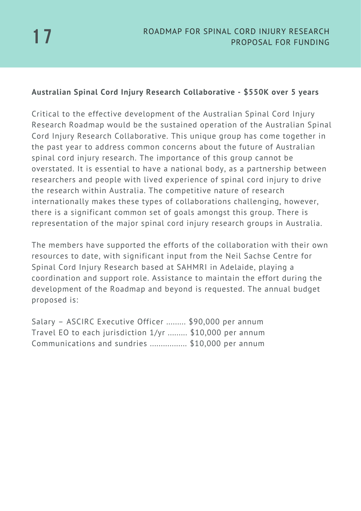#### **Australian Spinal Cord Injury Research Collaborative - \$550K over 5 years**

Critical to the effective development of the Australian Spinal Cord Injury Research Roadmap would be the sustained operation of the Australian Spinal Cord Injury Research Collaborative. This unique group has come together in the past year to address common concerns about the future of Australian spinal cord injury research. The importance of this group cannot be overstated. It is essential to have a national body, as a partnership between researchers and people with lived experience of spinal cord injury to drive the research within Australia. The competitive nature of research internationally makes these types of collaborations challenging, however, there is a significant common set of goals amongst this group. There is representation of the major spinal cord injury research groups in Australia.

The members have supported the efforts of the collaboration with their own resources to date, with significant input from the Neil Sachse Centre for Spinal Cord Injury Research based at SAHMRI in Adelaide, playing a coordination and support role. Assistance to maintain the effort during the development of the Roadmap and beyond is requested. The annual budget proposed is:

Salary – ASCIRC Executive Officer ......... \$90,000 per annum Travel EO to each jurisdiction 1/yr ......... \$10,000 per annum Communications and sundries ................. \$10,000 per annum